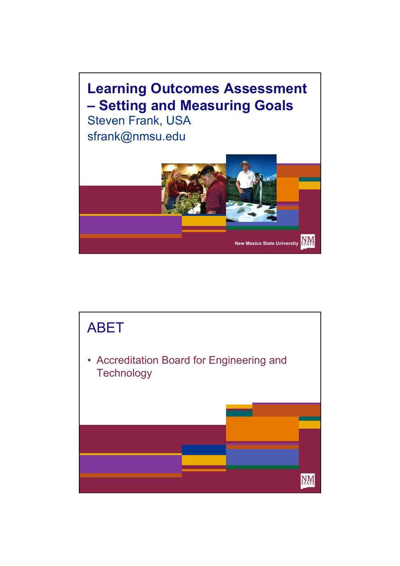

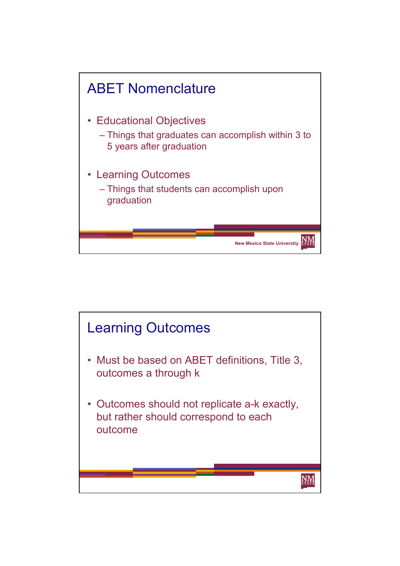

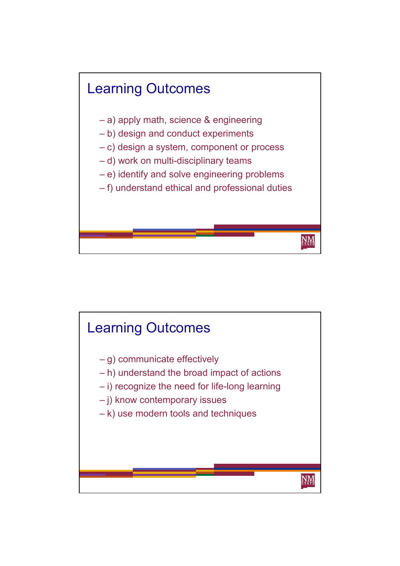

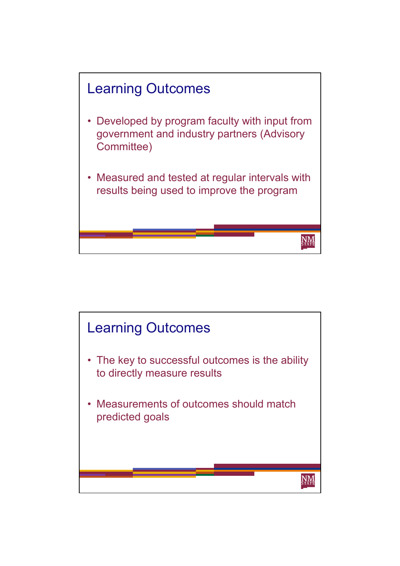

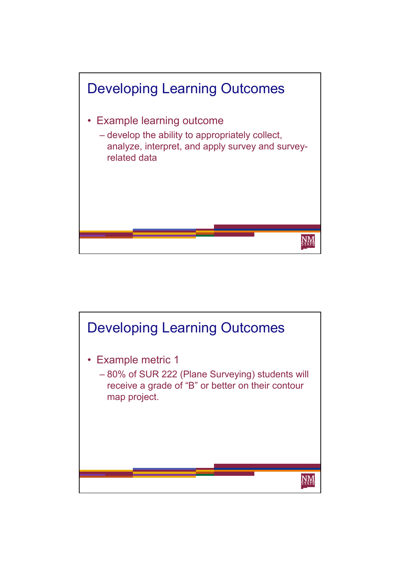

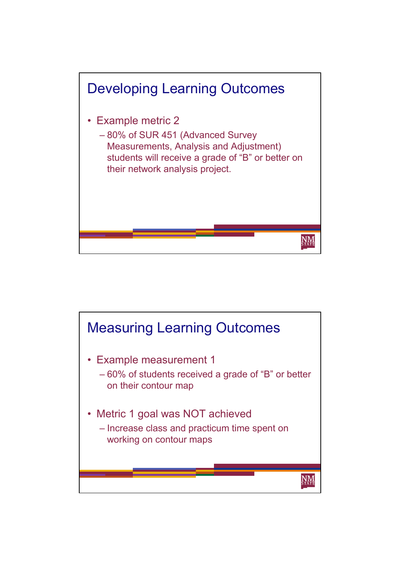

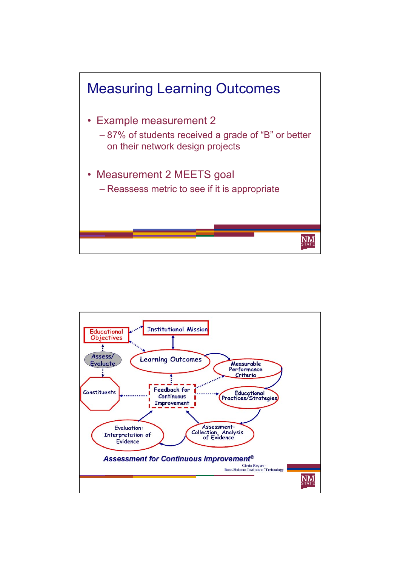